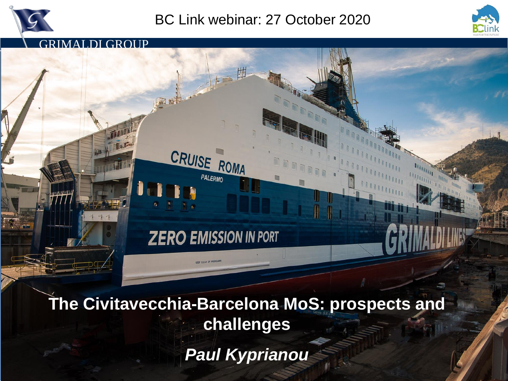

GRIMALDI GROUP

## BC Link webinar: 27 October 2020



**ZERO EMISSION IN PORT** 

CRUISE ROMA

PALERMO

**The Civitavecchia-Barcelona MoS: prospects and challenges** *Paul Kyprianou*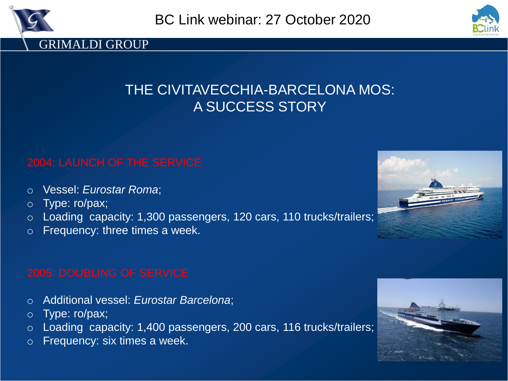



## THE CIVITAVECCHIA-BARCELONA MOS: A SUCCESS STORY

- o Vessel: *Eurostar Roma*;
- o Type: ro/pax;
- o Loading capacity: 1,300 passengers, 120 cars, 110 trucks/trailers;
- o Frequency: three times a week.

- o Additional vessel: *Eurostar Barcelona*;
- o Type: ro/pax;
- o Loading capacity: 1,400 passengers, 200 cars, 116 trucks/trailers;
- o Frequency: six times a week.



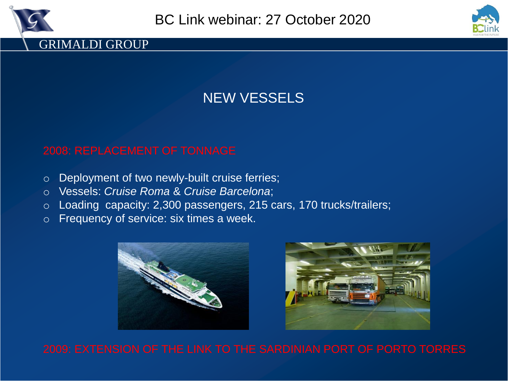



## NEW VESSELS

### 2008: REPLACEMENT OF TONNAGE

- o Deployment of two newly-built cruise ferries;
- o Vessels: *Cruise Roma* & *Cruise Barcelona*;
- o Loading capacity: 2,300 passengers, 215 cars, 170 trucks/trailers;
- o Frequency of service: six times a week.





2009: EXTENSION OF THE LINK TO THE SARDINIAN PORT OF PORTO TORRES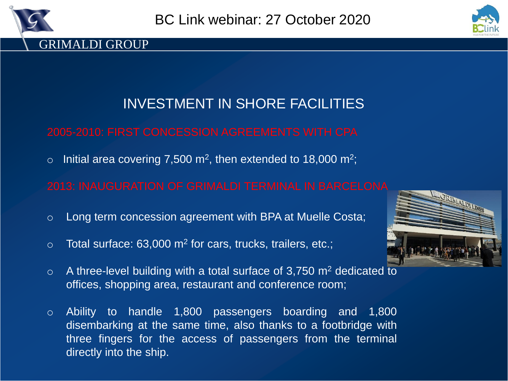



## INVESTMENT IN SHORE FACILITIES

o Initial area covering 7,500 m<sup>2</sup>, then extended to 18,000 m<sup>2</sup>;

- o Long term concession agreement with BPA at Muelle Costa;
- $\circ$  Total surface: 63,000 m<sup>2</sup> for cars, trucks, trailers, etc.;
- $\circ$  A three-level building with a total surface of 3,750 m<sup>2</sup> dedicated to offices, shopping area, restaurant and conference room;
- o Ability to handle 1,800 passengers boarding and 1,800 disembarking at the same time, also thanks to a footbridge with three fingers for the access of passengers from the terminal directly into the ship.

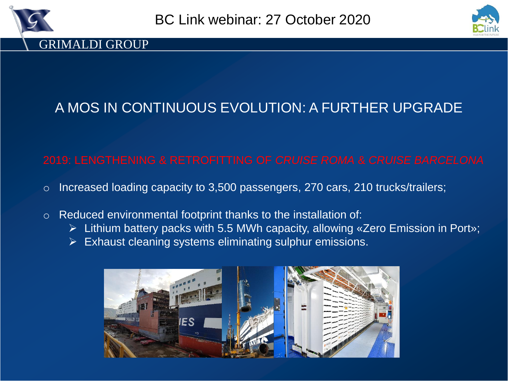



# A MOS IN CONTINUOUS EVOLUTION: A FURTHER UPGRADE

### 2019: LENGTHENING & RETROFITTING OF *CRUISE ROMA* & *CRUISE BARCELONA*

- o Increased loading capacity to 3,500 passengers, 270 cars, 210 trucks/trailers;
- o Reduced environmental footprint thanks to the installation of:
	- ➢ Lithium battery packs with 5.5 MWh capacity, allowing «Zero Emission in Port»;
	- ➢ Exhaust cleaning systems eliminating sulphur emissions.

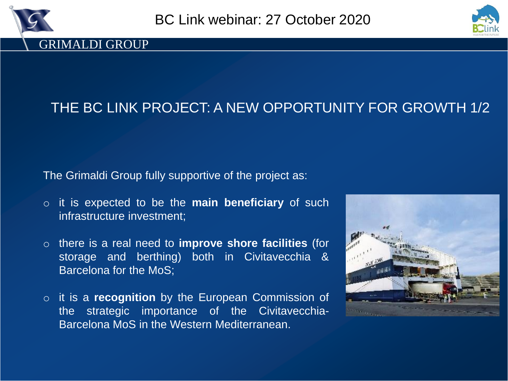



# THE BC LINK PROJECT: A NEW OPPORTUNITY FOR GROWTH 1/2

The Grimaldi Group fully supportive of the project as:

- o it is expected to be the **main beneficiary** of such infrastructure investment;
- o there is a real need to **improve shore facilities** (for storage and berthing) both in Civitavecchia & Barcelona for the MoS;
- o it is a **recognition** by the European Commission of the strategic importance of the Civitavecchia-Barcelona MoS in the Western Mediterranean.

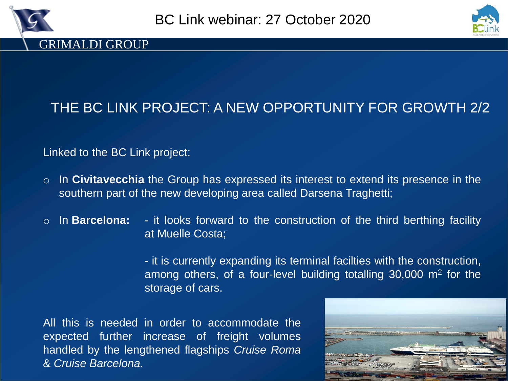



# THE BC LINK PROJECT: A NEW OPPORTUNITY FOR GROWTH 2/2

### Linked to the BC Link project:

- o In **Civitavecchia** the Group has expressed its interest to extend its presence in the southern part of the new developing area called Darsena Traghetti;
- o In **Barcelona:** it looks forward to the construction of the third berthing facility at Muelle Costa;

- it is currently expanding its terminal facilties with the construction, among others, of a four-level building totalling 30,000 m<sup>2</sup> for the storage of cars.

All this is needed in order to accommodate the expected further increase of freight volumes handled by the lengthened flagships *Cruise Roma* & *Cruise Barcelona.*